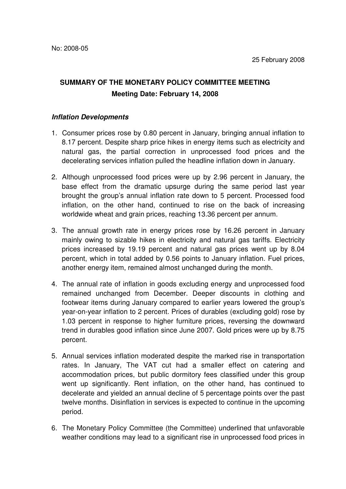## **SUMMARY OF THE MONETARY POLICY COMMITTEE MEETING Meeting Date: February 14, 2008**

## **Inflation Developments**

- 1. Consumer prices rose by 0.80 percent in January, bringing annual inflation to 8.17 percent. Despite sharp price hikes in energy items such as electricity and natural gas, the partial correction in unprocessed food prices and the decelerating services inflation pulled the headline inflation down in January.
- 2. Although unprocessed food prices were up by 2.96 percent in January, the base effect from the dramatic upsurge during the same period last year brought the group's annual inflation rate down to 5 percent. Processed food inflation, on the other hand, continued to rise on the back of increasing worldwide wheat and grain prices, reaching 13.36 percent per annum.
- 3. The annual growth rate in energy prices rose by 16.26 percent in January mainly owing to sizable hikes in electricity and natural gas tariffs. Electricity prices increased by 19.19 percent and natural gas prices went up by 8.04 percent, which in total added by 0.56 points to January inflation. Fuel prices, another energy item, remained almost unchanged during the month.
- 4. The annual rate of inflation in goods excluding energy and unprocessed food remained unchanged from December. Deeper discounts in clothing and footwear items during January compared to earlier years lowered the group's year-on-year inflation to 2 percent. Prices of durables (excluding gold) rose by 1.03 percent in response to higher furniture prices, reversing the downward trend in durables good inflation since June 2007. Gold prices were up by 8.75 percent.
- 5. Annual services inflation moderated despite the marked rise in transportation rates. In January, The VAT cut had a smaller effect on catering and accommodation prices, but public dormitory fees classified under this group went up significantly. Rent inflation, on the other hand, has continued to decelerate and yielded an annual decline of 5 percentage points over the past twelve months. Disinflation in services is expected to continue in the upcoming period.
- 6. The Monetary Policy Committee (the Committee) underlined that unfavorable weather conditions may lead to a significant rise in unprocessed food prices in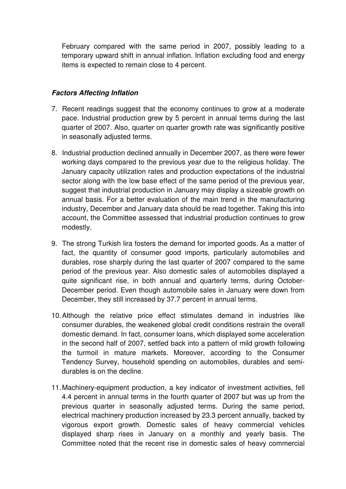February compared with the same period in 2007, possibly leading to a temporary upward shift in annual inflation. Inflation excluding food and energy items is expected to remain close to 4 percent.

## **Factors Affecting Inflation**

- 7. Recent readings suggest that the economy continues to grow at a moderate pace. Industrial production grew by 5 percent in annual terms during the last quarter of 2007. Also, quarter on quarter growth rate was significantly positive in seasonally adjusted terms.
- 8. Industrial production declined annually in December 2007, as there were fewer working days compared to the previous year due to the religious holiday. The January capacity utilization rates and production expectations of the industrial sector along with the low base effect of the same period of the previous year, suggest that industrial production in January may display a sizeable growth on annual basis. For a better evaluation of the main trend in the manufacturing industry, December and January data should be read together. Taking this into account, the Committee assessed that industrial production continues to grow modestly.
- 9. The strong Turkish lira fosters the demand for imported goods. As a matter of fact, the quantity of consumer good imports, particularly automobiles and durables, rose sharply during the last quarter of 2007 compared to the same period of the previous year. Also domestic sales of automobiles displayed a quite significant rise, in both annual and quarterly terms, during October-December period. Even though automobile sales in January were down from December, they still increased by 37.7 percent in annual terms.
- 10. Although the relative price effect stimulates demand in industries like consumer durables, the weakened global credit conditions restrain the overall domestic demand. In fact, consumer loans, which displayed some acceleration in the second half of 2007, settled back into a pattern of mild growth following the turmoil in mature markets. Moreover, according to the Consumer Tendency Survey, household spending on automobiles, durables and semidurables is on the decline.
- 11. Machinery-equipment production, a key indicator of investment activities, fell 4.4 percent in annual terms in the fourth quarter of 2007 but was up from the previous quarter in seasonally adjusted terms. During the same period, electrical machinery production increased by 23.3 percent annually, backed by vigorous export growth. Domestic sales of heavy commercial vehicles displayed sharp rises in January on a monthly and yearly basis. The Committee noted that the recent rise in domestic sales of heavy commercial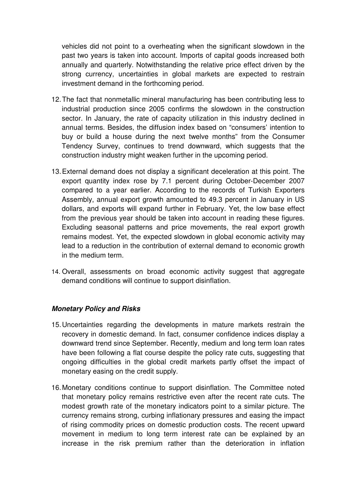vehicles did not point to a overheating when the significant slowdown in the past two years is taken into account. Imports of capital goods increased both annually and quarterly. Notwithstanding the relative price effect driven by the strong currency, uncertainties in global markets are expected to restrain investment demand in the forthcoming period.

- 12. The fact that nonmetallic mineral manufacturing has been contributing less to industrial production since 2005 confirms the slowdown in the construction sector. In January, the rate of capacity utilization in this industry declined in annual terms. Besides, the diffusion index based on "consumers' intention to buy or build a house during the next twelve months" from the Consumer Tendency Survey, continues to trend downward, which suggests that the construction industry might weaken further in the upcoming period.
- 13. External demand does not display a significant deceleration at this point. The export quantity index rose by 7.1 percent during October-December 2007 compared to a year earlier. According to the records of Turkish Exporters Assembly, annual export growth amounted to 49.3 percent in January in US dollars, and exports will expand further in February. Yet, the low base effect from the previous year should be taken into account in reading these figures. Excluding seasonal patterns and price movements, the real export growth remains modest. Yet, the expected slowdown in global economic activity may lead to a reduction in the contribution of external demand to economic growth in the medium term.
- 14. Overall, assessments on broad economic activity suggest that aggregate demand conditions will continue to support disinflation.

## **Monetary Policy and Risks**

- 15. Uncertainties regarding the developments in mature markets restrain the recovery in domestic demand. In fact, consumer confidence indices display a downward trend since September. Recently, medium and long term loan rates have been following a flat course despite the policy rate cuts, suggesting that ongoing difficulties in the global credit markets partly offset the impact of monetary easing on the credit supply.
- 16. Monetary conditions continue to support disinflation. The Committee noted that monetary policy remains restrictive even after the recent rate cuts. The modest growth rate of the monetary indicators point to a similar picture. The currency remains strong, curbing inflationary pressures and easing the impact of rising commodity prices on domestic production costs. The recent upward movement in medium to long term interest rate can be explained by an increase in the risk premium rather than the deterioration in inflation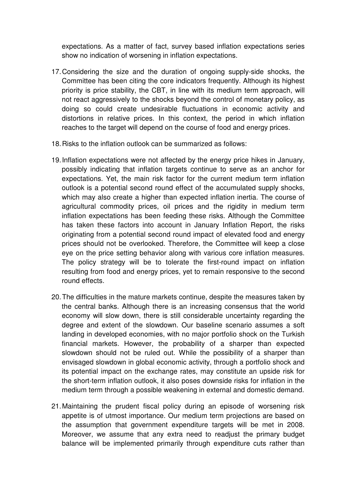expectations. As a matter of fact, survey based inflation expectations series show no indication of worsening in inflation expectations.

- 17. Considering the size and the duration of ongoing supply-side shocks, the Committee has been citing the core indicators frequently. Although its highest priority is price stability, the CBT, in line with its medium term approach, will not react aggressively to the shocks beyond the control of monetary policy, as doing so could create undesirable fluctuations in economic activity and distortions in relative prices. In this context, the period in which inflation reaches to the target will depend on the course of food and energy prices.
- 18. Risks to the inflation outlook can be summarized as follows:
- 19. Inflation expectations were not affected by the energy price hikes in January, possibly indicating that inflation targets continue to serve as an anchor for expectations. Yet, the main risk factor for the current medium term inflation outlook is a potential second round effect of the accumulated supply shocks, which may also create a higher than expected inflation inertia. The course of agricultural commodity prices, oil prices and the rigidity in medium term inflation expectations has been feeding these risks. Although the Committee has taken these factors into account in January Inflation Report, the risks originating from a potential second round impact of elevated food and energy prices should not be overlooked. Therefore, the Committee will keep a close eye on the price setting behavior along with various core inflation measures. The policy strategy will be to tolerate the first-round impact on inflation resulting from food and energy prices, yet to remain responsive to the second round effects.
- 20. The difficulties in the mature markets continue, despite the measures taken by the central banks. Although there is an increasing consensus that the world economy will slow down, there is still considerable uncertainty regarding the degree and extent of the slowdown. Our baseline scenario assumes a soft landing in developed economies, with no major portfolio shock on the Turkish financial markets. However, the probability of a sharper than expected slowdown should not be ruled out. While the possibility of a sharper than envisaged slowdown in global economic activity, through a portfolio shock and its potential impact on the exchange rates, may constitute an upside risk for the short-term inflation outlook, it also poses downside risks for inflation in the medium term through a possible weakening in external and domestic demand.
- 21. Maintaining the prudent fiscal policy during an episode of worsening risk appetite is of utmost importance. Our medium term projections are based on the assumption that government expenditure targets will be met in 2008. Moreover, we assume that any extra need to readjust the primary budget balance will be implemented primarily through expenditure cuts rather than